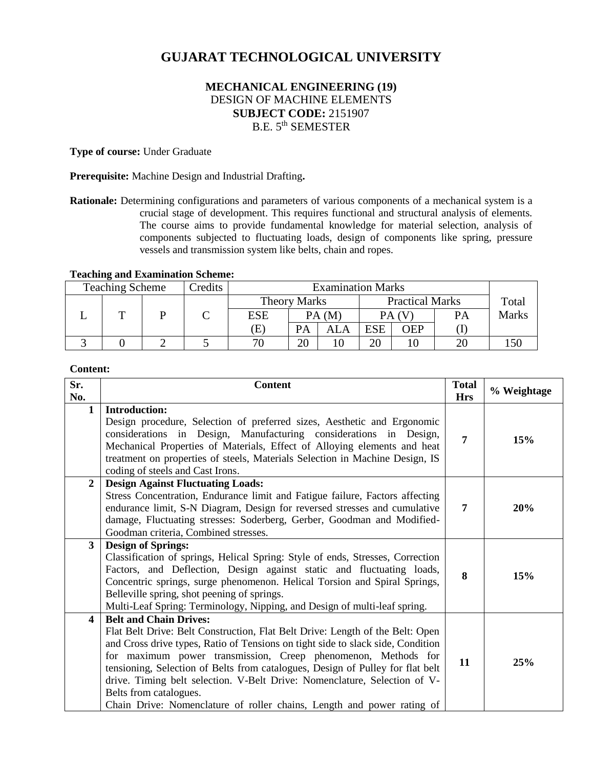# **GUJARAT TECHNOLOGICAL UNIVERSITY**

## **MECHANICAL ENGINEERING (19)** DESIGN OF MACHINE ELEMENTS **SUBJECT CODE:** 2151907 B.E. 5th SEMESTER

**Type of course:** Under Graduate

**Prerequisite:** Machine Design and Industrial Drafting**.**

**Rationale:** Determining configurations and parameters of various components of a mechanical system is a crucial stage of development. This requires functional and structural analysis of elements. The course aims to provide fundamental knowledge for material selection, analysis of components subjected to fluctuating loads, design of components like spring, pressure vessels and transmission system like belts, chain and ropes.

#### **Teaching and Examination Scheme:**

| <b>Teaching Scheme</b> | Credits |            |                                               | <b>Examination Marks</b> |            |       |    |              |
|------------------------|---------|------------|-----------------------------------------------|--------------------------|------------|-------|----|--------------|
|                        |         |            | <b>Practical Marks</b><br><b>Theory Marks</b> |                          |            | Total |    |              |
|                        |         | <b>ESE</b> | PA(M)                                         |                          | PA (V      |       | PА | <b>Marks</b> |
|                        |         | E          | PA                                            | ALA                      | <b>ESE</b> | OEP   |    |              |
|                        |         | 70         | 20                                            |                          | 20         |       |    |              |

## **Content:**

| Sr.<br>No.     | <b>Content</b>                                                                                                                                                                                                                                                                                                                                                                                                                                                                                                                        | <b>Total</b><br><b>Hrs</b> | % Weightage |
|----------------|---------------------------------------------------------------------------------------------------------------------------------------------------------------------------------------------------------------------------------------------------------------------------------------------------------------------------------------------------------------------------------------------------------------------------------------------------------------------------------------------------------------------------------------|----------------------------|-------------|
| $\mathbf{1}$   | <b>Introduction:</b><br>Design procedure, Selection of preferred sizes, Aesthetic and Ergonomic<br>considerations in Design, Manufacturing considerations in Design,<br>Mechanical Properties of Materials, Effect of Alloying elements and heat<br>treatment on properties of steels, Materials Selection in Machine Design, IS<br>coding of steels and Cast Irons.                                                                                                                                                                  | 7                          | 15%         |
| $\overline{2}$ | <b>Design Against Fluctuating Loads:</b><br>Stress Concentration, Endurance limit and Fatigue failure, Factors affecting<br>endurance limit, S-N Diagram, Design for reversed stresses and cumulative<br>damage, Fluctuating stresses: Soderberg, Gerber, Goodman and Modified-<br>Goodman criteria, Combined stresses.                                                                                                                                                                                                               | 7                          | 20%         |
| $3^{\circ}$    | <b>Design of Springs:</b><br>Classification of springs, Helical Spring: Style of ends, Stresses, Correction<br>Factors, and Deflection, Design against static and fluctuating loads,<br>Concentric springs, surge phenomenon. Helical Torsion and Spiral Springs,<br>Belleville spring, shot peening of springs.<br>Multi-Leaf Spring: Terminology, Nipping, and Design of multi-leaf spring.                                                                                                                                         | 8                          | 15%         |
| 4              | <b>Belt and Chain Drives:</b><br>Flat Belt Drive: Belt Construction, Flat Belt Drive: Length of the Belt: Open<br>and Cross drive types, Ratio of Tensions on tight side to slack side, Condition<br>for maximum power transmission, Creep phenomenon, Methods for<br>tensioning, Selection of Belts from catalogues, Design of Pulley for flat belt<br>drive. Timing belt selection. V-Belt Drive: Nomenclature, Selection of V-<br>Belts from catalogues.<br>Chain Drive: Nomenclature of roller chains, Length and power rating of | 11                         | 25%         |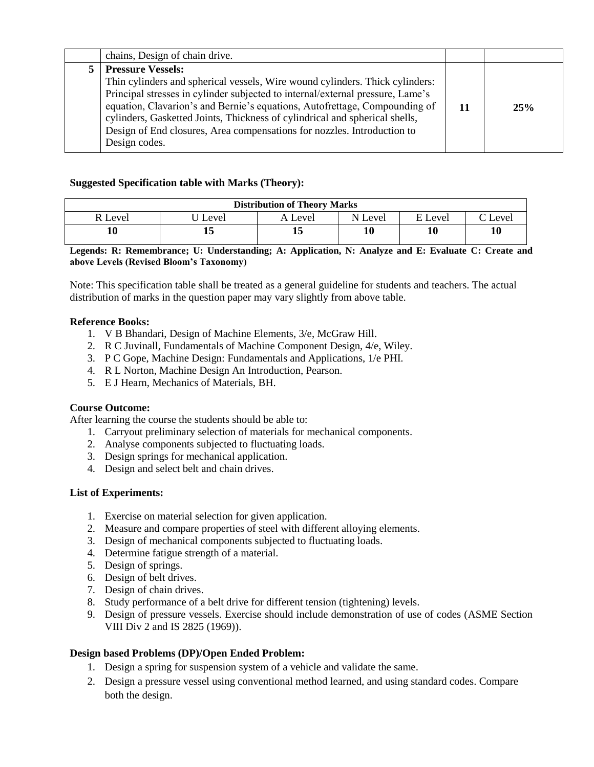| chains, Design of chain drive.                                                                                                                                                                                                                                                                                                                                                                                                                      |    |     |
|-----------------------------------------------------------------------------------------------------------------------------------------------------------------------------------------------------------------------------------------------------------------------------------------------------------------------------------------------------------------------------------------------------------------------------------------------------|----|-----|
| <b>Pressure Vessels:</b><br>Thin cylinders and spherical vessels, Wire wound cylinders. Thick cylinders:<br>Principal stresses in cylinder subjected to internal/external pressure, Lame's<br>equation, Clavarion's and Bernie's equations, Autofrettage, Compounding of<br>cylinders, Gasketted Joints, Thickness of cylindrical and spherical shells,<br>Design of End closures, Area compensations for nozzles. Introduction to<br>Design codes. | 11 | 25% |

## **Suggested Specification table with Marks (Theory):**

| <b>Distribution of Theory Marks</b> |       |         |         |         |         |  |  |
|-------------------------------------|-------|---------|---------|---------|---------|--|--|
| R Level                             | Level | A Level | N Level | E Level | C Level |  |  |
| 10                                  | 15    |         |         |         | 10      |  |  |

**Legends: R: Remembrance; U: Understanding; A: Application, N: Analyze and E: Evaluate C: Create and above Levels (Revised Bloom's Taxonomy)**

Note: This specification table shall be treated as a general guideline for students and teachers. The actual distribution of marks in the question paper may vary slightly from above table.

## **Reference Books:**

- 1. V B Bhandari, Design of Machine Elements, 3/e, McGraw Hill.
- 2. R C Juvinall, Fundamentals of Machine Component Design, 4/e, Wiley.
- 3. P C Gope, Machine Design: Fundamentals and Applications, 1/e PHI.
- 4. R L Norton, Machine Design An Introduction, Pearson.
- 5. E J Hearn, Mechanics of Materials, BH.

#### **Course Outcome:**

After learning the course the students should be able to:

- 1. Carryout preliminary selection of materials for mechanical components.
- 2. Analyse components subjected to fluctuating loads.
- 3. Design springs for mechanical application.
- 4. Design and select belt and chain drives.

## **List of Experiments:**

- 1. Exercise on material selection for given application.
- 2. Measure and compare properties of steel with different alloying elements.
- 3. Design of mechanical components subjected to fluctuating loads.
- 4. Determine fatigue strength of a material.
- 5. Design of springs.
- 6. Design of belt drives.
- 7. Design of chain drives.
- 8. Study performance of a belt drive for different tension (tightening) levels.
- 9. Design of pressure vessels. Exercise should include demonstration of use of codes (ASME Section VIII Div 2 and IS 2825 (1969)).

## **Design based Problems (DP)/Open Ended Problem:**

- 1. Design a spring for suspension system of a vehicle and validate the same.
- 2. Design a pressure vessel using conventional method learned, and using standard codes. Compare both the design.